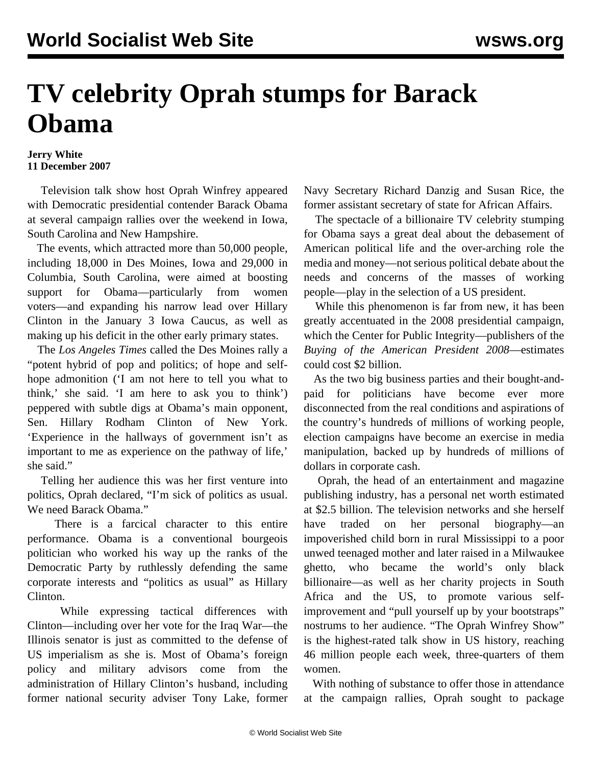## **TV celebrity Oprah stumps for Barack Obama**

## **Jerry White 11 December 2007**

 Television talk show host Oprah Winfrey appeared with Democratic presidential contender Barack Obama at several campaign rallies over the weekend in Iowa, South Carolina and New Hampshire.

 The events, which attracted more than 50,000 people, including 18,000 in Des Moines, Iowa and 29,000 in Columbia, South Carolina, were aimed at boosting support for Obama—particularly from women voters—and expanding his narrow lead over Hillary Clinton in the January 3 Iowa Caucus, as well as making up his deficit in the other early primary states.

 The *Los Angeles Times* called the Des Moines rally a "potent hybrid of pop and politics; of hope and selfhope admonition ('I am not here to tell you what to think,' she said. 'I am here to ask you to think') peppered with subtle digs at Obama's main opponent, Sen. Hillary Rodham Clinton of New York. 'Experience in the hallways of government isn't as important to me as experience on the pathway of life,' she said."

 Telling her audience this was her first venture into politics, Oprah declared, "I'm sick of politics as usual. We need Barack Obama."

 There is a farcical character to this entire performance. Obama is a conventional bourgeois politician who worked his way up the ranks of the Democratic Party by ruthlessly defending the same corporate interests and "politics as usual" as Hillary Clinton.

 While expressing tactical differences with Clinton—including over her vote for the Iraq War—the Illinois senator is just as committed to the defense of US imperialism as she is. Most of Obama's foreign policy and military advisors come from the administration of Hillary Clinton's husband, including former national security adviser Tony Lake, former

Navy Secretary Richard Danzig and Susan Rice, the former assistant secretary of state for African Affairs.

 The spectacle of a billionaire TV celebrity stumping for Obama says a great deal about the debasement of American political life and the over-arching role the media and money—not serious political debate about the needs and concerns of the masses of working people—play in the selection of a US president.

 While this phenomenon is far from new, it has been greatly accentuated in the 2008 presidential campaign, which the Center for Public Integrity—publishers of the *Buying of the American President 2008*—estimates could cost \$2 billion.

 As the two big business parties and their bought-andpaid for politicians have become ever more disconnected from the real conditions and aspirations of the country's hundreds of millions of working people, election campaigns have become an exercise in media manipulation, backed up by hundreds of millions of dollars in corporate cash.

 Oprah, the head of an entertainment and magazine publishing industry, has a personal net worth estimated at \$2.5 billion. The television networks and she herself have traded on her personal biography—an impoverished child born in rural Mississippi to a poor unwed teenaged mother and later raised in a Milwaukee ghetto, who became the world's only black billionaire—as well as her charity projects in South Africa and the US, to promote various selfimprovement and "pull yourself up by your bootstraps" nostrums to her audience. "The Oprah Winfrey Show" is the highest-rated talk show in US history, reaching 46 million people each week, three-quarters of them women.

 With nothing of substance to offer those in attendance at the campaign rallies, Oprah sought to package